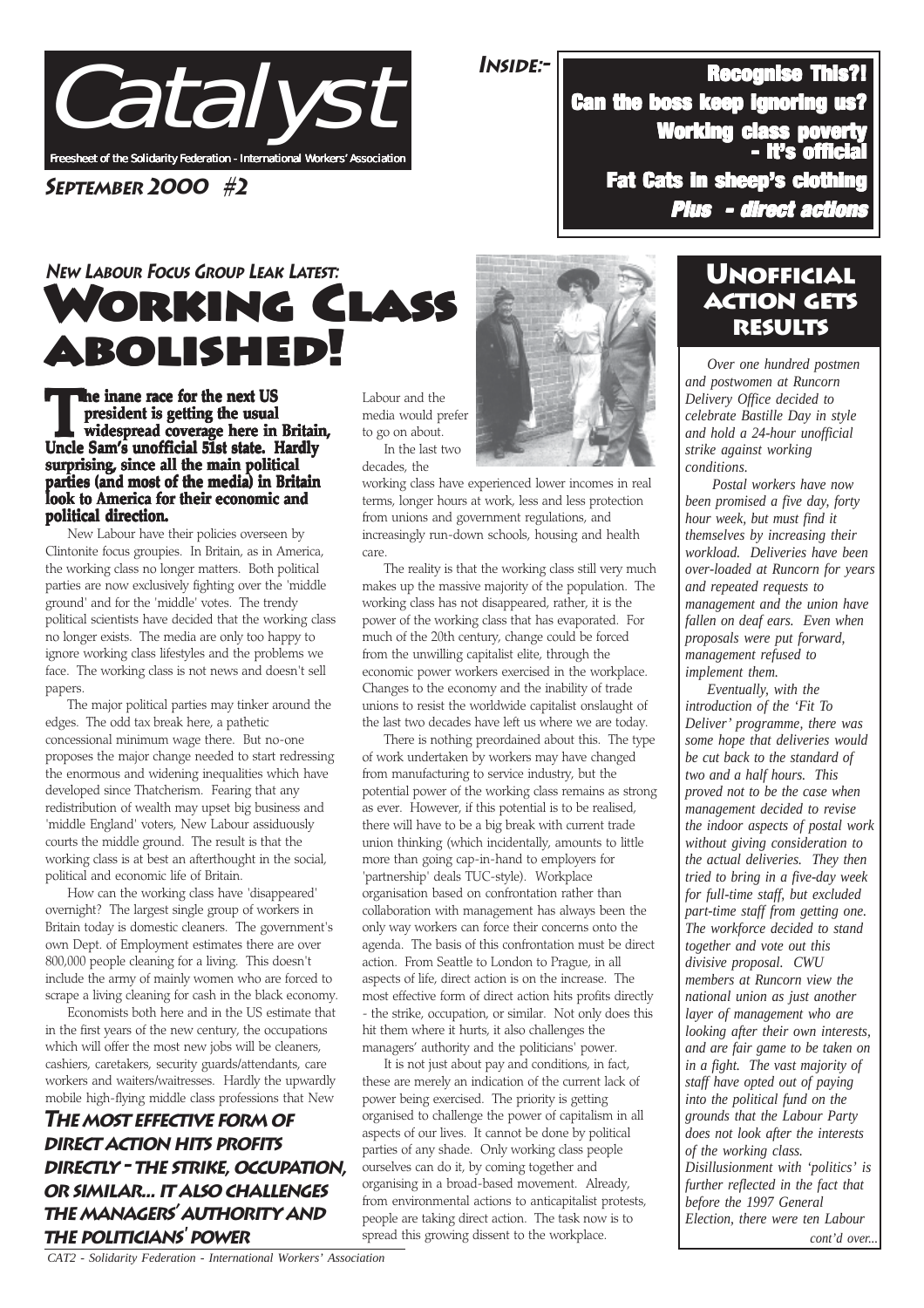

**September 2000 #2**

# **ORKING CLASS** abolished! abolished! abolished! **New Labour Focus Group Leak Latest:**

**The inane race for the next US**<br>
widespread coverage here in Britain,<br>
Uncle Sam's unofficial 51st state. Hardly **president is getting the usual is getting usual Uncle Sam's unofficial 51st state. Hardly surprising, since all the main political parties (and most of the media) in Britain look to America for their economic and political direction. political direction.**

New Labour have their policies overseen by Clintonite focus groupies. In Britain, as in America, the working class no longer matters. Both political parties are now exclusively fighting over the 'middle ground' and for the 'middle' votes. The trendy political scientists have decided that the working class no longer exists. The media are only too happy to ignore working class lifestyles and the problems we face. The working class is not news and doesn't sell papers.

The major political parties may tinker around the edges. The odd tax break here, a pathetic concessional minimum wage there. But no-one proposes the major change needed to start redressing the enormous and widening inequalities which have developed since Thatcherism. Fearing that any redistribution of wealth may upset big business and 'middle England' voters, New Labour assiduously courts the middle ground. The result is that the working class is at best an afterthought in the social, political and economic life of Britain.

How can the working class have 'disappeared' overnight? The largest single group of workers in Britain today is domestic cleaners. The government's own Dept. of Employment estimates there are over 800,000 people cleaning for a living. This doesn't include the army of mainly women who are forced to scrape a living cleaning for cash in the black economy.

Economists both here and in the US estimate that in the first years of the new century, the occupations which will offer the most new jobs will be cleaners, cashiers, caretakers, security guards/attendants, care workers and waiters/waitresses. Hardly the upwardly mobile high-flying middle class professions that New

#### **The most effective form of direct action hits profits directly - the strike, occupation, or similar... it also challenges the managers' authority and THE POLITICIANS<sup>'</sup> POWER** spread this growing dissent to the workplace. The production of the cont'd over...

Labour and the media would prefer to go on about. In the last two

decades, the

working class have experienced lower incomes in real terms, longer hours at work, less and less protection from unions and government regulations, and increasingly run-down schools, housing and health care.

The reality is that the working class still very much makes up the massive majority of the population. The working class has not disappeared, rather, it is the power of the working class that has evaporated. For much of the 20th century, change could be forced from the unwilling capitalist elite, through the economic power workers exercised in the workplace. Changes to the economy and the inability of trade unions to resist the worldwide capitalist onslaught of the last two decades have left us where we are today.

There is nothing preordained about this. The type of work undertaken by workers may have changed from manufacturing to service industry, but the potential power of the working class remains as strong as ever. However, if this potential is to be realised, there will have to be a big break with current trade union thinking (which incidentally, amounts to little more than going cap-in-hand to employers for 'partnership' deals TUC-style). Workplace organisation based on confrontation rather than collaboration with management has always been the only way workers can force their concerns onto the agenda. The basis of this confrontation must be direct action. From Seattle to London to Prague, in all aspects of life, direct action is on the increase. The most effective form of direct action hits profits directly - the strike, occupation, or similar. Not only does this hit them where it hurts, it also challenges the managers' authority and the politicians' power.

It is not just about pay and conditions, in fact, these are merely an indication of the current lack of power being exercised. The priority is getting organised to challenge the power of capitalism in all aspects of our lives. It cannot be done by political parties of any shade. Only working class people ourselves can do it, by coming together and organising in a broad-based movement. Already, from environmental actions to anticapitalist protests, people are taking direct action. The task now is to spread this growing dissent to the workplace.

# Unofficial action gets results

- It's official

**Inside:-** Recognise This?! Recognise This?!

Can the boss keep ignoring us?

**Fat Cats in sheep's clothin** 

Working class poverty

*Plus - direct actions - direct actions*

*Over one hundred postmen and postwomen at Runcorn Delivery Office decided to celebrate Bastille Day in style and hold a 24-hour unofficial strike against working conditions.*

 *Postal workers have now been promised a five day, forty hour week, but must find it themselves by increasing their workload. Deliveries have been over-loaded at Runcorn for years and repeated requests to management and the union have fallen on deaf ears. Even when proposals were put forward, management refused to implement them.*

*Eventually, with the introduction of the 'Fit To Deliver' programme, there was some hope that deliveries would be cut back to the standard of two and a half hours. This proved not to be the case when management decided to revise the indoor aspects of postal work without giving consideration to the actual deliveries. They then tried to bring in a five-day week for full-time staff, but excluded part-time staff from getting one. The workforce decided to stand together and vote out this divisive proposal. CWU members at Runcorn view the national union as just another layer of management who are looking after their own interests, and are fair game to be taken on in a fight. The vast majority of staff have opted out of paying into the political fund on the grounds that the Labour Party does not look after the interests of the working class. Disillusionment with 'politics' is further reflected in the fact that before the 1997 General Election, there were ten Labour*



 *CAT2 - Solidarity Federation - International Workers' Association*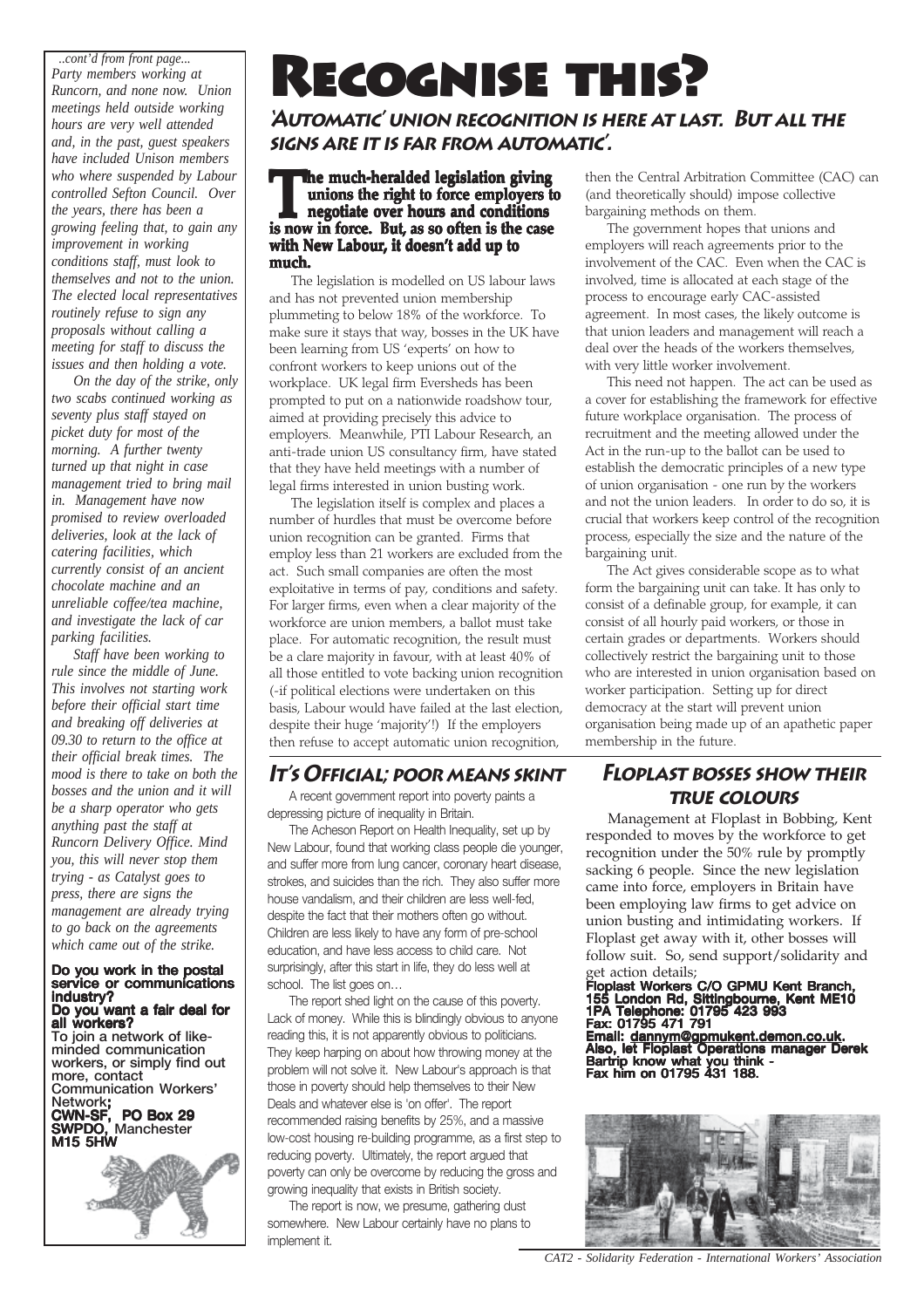*..cont'd from front page... Party members working at Runcorn, and none now. Union meetings held outside working hours are very well attended and, in the past, guest speakers have included Unison members who where suspended by Labour controlled Sefton Council. Over the years, there has been a growing feeling that, to gain any improvement in working conditions staff, must look to themselves and not to the union. The elected local representatives routinely refuse to sign any proposals without calling a meeting for staff to discuss the issues and then holding a vote.*

*On the day of the strike, only two scabs continued working as seventy plus staff stayed on picket duty for most of the morning. A further twenty turned up that night in case management tried to bring mail in. Management have now promised to review overloaded deliveries, look at the lack of catering facilities, which currently consist of an ancient chocolate machine and an unreliable coffee/tea machine, and investigate the lack of car parking facilities.*

*Staff have been working to rule since the middle of June. This involves not starting work before their official start time and breaking off deliveries at 09.30 to return to the office at their official break times. The mood is there to take on both the bosses and the union and it will be a sharp operator who gets anything past the staff at Runcorn Delivery Office. Mind you, this will never stop them trying - as Catalyst goes to press, there are signs the management are already trying to go back on the agreements which came out of the strike.*

#### Do you work in the postal service or communications industry? Do you want a fair deal for

all workers? To join a network of likeminded communication workers, or simply find out more, contact Communication Workers' Network; CWN-SF, PO Box 29 SWPDO, Manchester M15 5HW

# RECOGNISE THIS?

**'Automatic' union recognition is here at last. But all the signs are it is far from automatic'.**

#### **The much-heralded legislation giving<br>
unions the right to force employers to<br>
negotiate over hours and conditions<br>
is now in force. But, as so often is the case unions the right to force employers to is now in force. But, as so often is the case with New Labour, it doesn't add up to much.**

The legislation is modelled on US labour laws and has not prevented union membership plummeting to below 18% of the workforce. To make sure it stays that way, bosses in the UK have been learning from US 'experts' on how to confront workers to keep unions out of the workplace. UK legal firm Eversheds has been prompted to put on a nationwide roadshow tour, aimed at providing precisely this advice to employers. Meanwhile, PTI Labour Research, an anti-trade union US consultancy firm, have stated that they have held meetings with a number of legal firms interested in union busting work.

The legislation itself is complex and places a number of hurdles that must be overcome before union recognition can be granted. Firms that employ less than 21 workers are excluded from the act. Such small companies are often the most exploitative in terms of pay, conditions and safety. For larger firms, even when a clear majority of the workforce are union members, a ballot must take place. For automatic recognition, the result must be a clare majority in favour, with at least 40% of all those entitled to vote backing union recognition (-if political elections were undertaken on this basis, Labour would have failed at the last election, despite their huge 'majority'!) If the employers then refuse to accept automatic union recognition,

## **It's Official; poor means skint**

A recent government report into poverty paints a depressing picture of inequality in Britain.

The Acheson Report on Health Inequality, set up by New Labour, found that working class people die younger, and suffer more from lung cancer, coronary heart disease, strokes, and suicides than the rich. They also suffer more house vandalism, and their children are less well-fed, despite the fact that their mothers often go without. Children are less likely to have any form of pre-school education, and have less access to child care. Not surprisingly, after this start in life, they do less well at school. The list goes on…

The report shed light on the cause of this poverty. Lack of money. While this is blindingly obvious to anyone reading this, it is not apparently obvious to politicians. They keep harping on about how throwing money at the problem will not solve it. New Labour's approach is that those in poverty should help themselves to their New Deals and whatever else is 'on offer'. The report recommended raising benefits by 25%, and a massive low-cost housing re-building programme, as a first step to reducing poverty. Ultimately, the report argued that poverty can only be overcome by reducing the gross and growing inequality that exists in British society.

The report is now, we presume, gathering dust somewhere. New Labour certainly have no plans to implement it.

then the Central Arbitration Committee (CAC) can (and theoretically should) impose collective bargaining methods on them.

The government hopes that unions and employers will reach agreements prior to the involvement of the CAC. Even when the CAC is involved, time is allocated at each stage of the process to encourage early CAC-assisted agreement. In most cases, the likely outcome is that union leaders and management will reach a deal over the heads of the workers themselves, with very little worker involvement.

This need not happen. The act can be used as a cover for establishing the framework for effective future workplace organisation. The process of recruitment and the meeting allowed under the Act in the run-up to the ballot can be used to establish the democratic principles of a new type of union organisation - one run by the workers and not the union leaders. In order to do so, it is crucial that workers keep control of the recognition process, especially the size and the nature of the bargaining unit.

The Act gives considerable scope as to what form the bargaining unit can take. It has only to consist of a definable group, for example, it can consist of all hourly paid workers, or those in certain grades or departments. Workers should collectively restrict the bargaining unit to those who are interested in union organisation based on worker participation. Setting up for direct democracy at the start will prevent union organisation being made up of an apathetic paper membership in the future.

## **Floplast bosses show their true colours**

Management at Floplast in Bobbing, Kent responded to moves by the workforce to get recognition under the 50% rule by promptly sacking 6 people. Since the new legislation came into force, employers in Britain have been employing law firms to get advice on union busting and intimidating workers. If Floplast get away with it, other bosses will follow suit. So, send support/solidarity and get action details;

#### Floplast Workers C/O GPMU Kent Branch, 155 London Rd, Sittingbourne, Kent ME10 1PA Telephone: 01795 423 993 Fax: 01795 471 791 Email: <u>dannym@gpmukent.demon.co.uk</u>.<br>Also, let Floplast Operations manager Derek Bartrip know what you think - Fax him on 01795 431 188.



 *CAT2 - Solidarity Federation - International Workers' Association*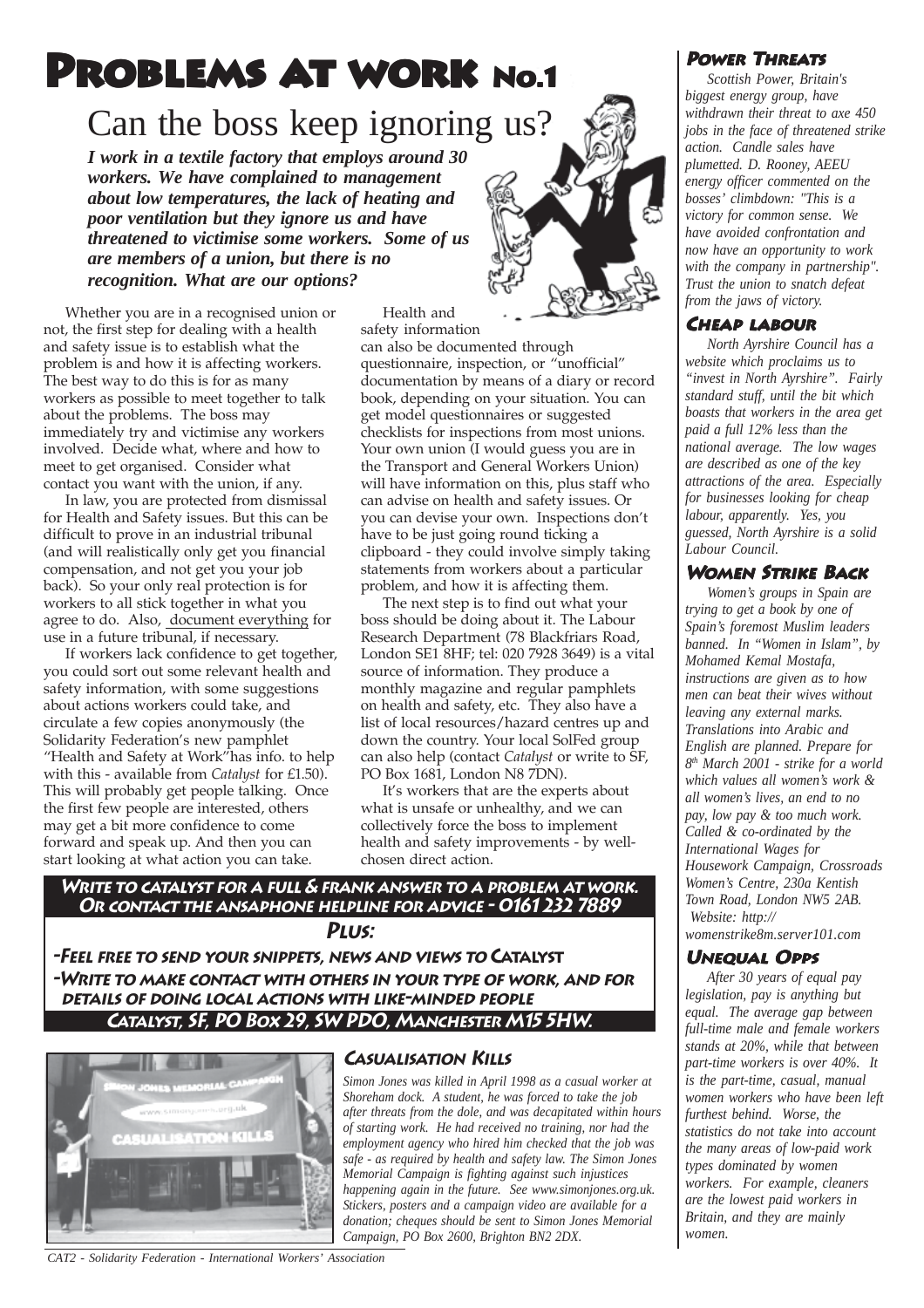# PROBLEMS AT WORK No.1

# Can the boss keep ignoring us?

*I work in a textile factory that employs around 30 workers. We have complained to management about low temperatures, the lack of heating and poor ventilation but they ignore us and have threatened to victimise some workers. Some of us are members of a union, but there is no recognition. What are our options?*

Whether you are in a recognised union or not, the first step for dealing with a health and safety issue is to establish what the problem is and how it is affecting workers. The best way to do this is for as many workers as possible to meet together to talk about the problems. The boss may immediately try and victimise any workers involved. Decide what, where and how to meet to get organised. Consider what contact you want with the union, if any.

In law, you are protected from dismissal for Health and Safety issues. But this can be difficult to prove in an industrial tribunal (and will realistically only get you financial compensation, and not get you your job back). So your only real protection is for workers to all stick together in what you agree to do. Also, document everything for use in a future tribunal, if necessary.

If workers lack confidence to get together, you could sort out some relevant health and safety information, with some suggestions about actions workers could take, and circulate a few copies anonymously (the Solidarity Federation's new pamphlet "Health and Safety at Work"has info. to help with this - available from *Catalyst* for £1.50). This will probably get people talking. Once the first few people are interested, others may get a bit more confidence to come forward and speak up. And then you can start looking at what action you can take.

Health and safety information

can also be documented through questionnaire, inspection, or "unofficial" documentation by means of a diary or record book, depending on your situation. You can get model questionnaires or suggested checklists for inspections from most unions. Your own union (I would guess you are in the Transport and General Workers Union) will have information on this, plus staff who can advise on health and safety issues. Or you can devise your own. Inspections don't have to be just going round ticking a clipboard - they could involve simply taking statements from workers about a particular problem, and how it is affecting them.

The next step is to find out what your boss should be doing about it. The Labour Research Department (78 Blackfriars Road, London SE1 8HF; tel: 020 7928 3649) is a vital source of information. They produce a monthly magazine and regular pamphlets on health and safety, etc. They also have a list of local resources/hazard centres up and down the country. Your local SolFed group can also help (contact *Catalyst* or write to SF, PO Box 1681, London N8 7DN).

It's workers that are the experts about what is unsafe or unhealthy, and we can collectively force the boss to implement health and safety improvements - by wellchosen direct action.

**Write to catalyst for a full & frank answer to a problem at work. Or contact the ansaphone helpline for advice - 0161 232 7889 Plus:**

**-Feel free to send your snippets, news and views to Catalyst -Write to make contact with others in your type of work, and for details of doing local actions with like-minded people Catalyst, SF, PO Box 29, SW PDO, Manchester M15 5HW.**



#### **Casualisation Kills**

*Simon Jones was killed in April 1998 as a casual worker at Shoreham dock. A student, he was forced to take the job after threats from the dole, and was decapitated within hours of starting work. He had received no training, nor had the employment agency who hired him checked that the job was safe - as required by health and safety law. The Simon Jones Memorial Campaign is fighting against such injustices happening again in the future. See www.simonjones.org.uk. Stickers, posters and a campaign video are available for a donation; cheques should be sent to Simon Jones Memorial Campaign, PO Box 2600, Brighton BN2 2DX.*

#### **Power Threats**

*Scottish Power, Britain's biggest energy group, have withdrawn their threat to axe 450 jobs in the face of threatened strike action. Candle sales have plumetted. D. Rooney, AEEU energy officer commented on the bosses' climbdown: "This is a victory for common sense. We have avoided confrontation and now have an opportunity to work with the company in partnership". Trust the union to snatch defeat from the jaws of victory.*

#### **Cheap labour**

*North Ayrshire Council has a website which proclaims us to "invest in North Ayrshire". Fairly standard stuff, until the bit which boasts that workers in the area get paid a full 12% less than the national average. The low wages are described as one of the key attractions of the area. Especially for businesses looking for cheap labour, apparently. Yes, you guessed, North Ayrshire is a solid Labour Council.*

#### **Women Strike Back**

*Women's groups in Spain are trying to get a book by one of Spain's foremost Muslim leaders banned. In "Women in Islam", by Mohamed Kemal Mostafa, instructions are given as to how men can beat their wives without leaving any external marks. Translations into Arabic and English are planned. Prepare for 8th March 2001 - strike for a world which values all women's work & all women's lives, an end to no pay, low pay & too much work. Called & co-ordinated by the International Wages for Housework Campaign, Crossroads Women's Centre, 230a Kentish Town Road, London NW5 2AB. Website: http://*

*womenstrike8m.server101.com*

#### **Unequal Opps**

*After 30 years of equal pay legislation, pay is anything but equal. The average gap between full-time male and female workers stands at 20%, while that between part-time workers is over 40%. It is the part-time, casual, manual women workers who have been left furthest behind. Worse, the statistics do not take into account the many areas of low-paid work types dominated by women workers. For example, cleaners are the lowest paid workers in Britain, and they are mainly women.*

 *CAT2 - Solidarity Federation - International Workers' Association*